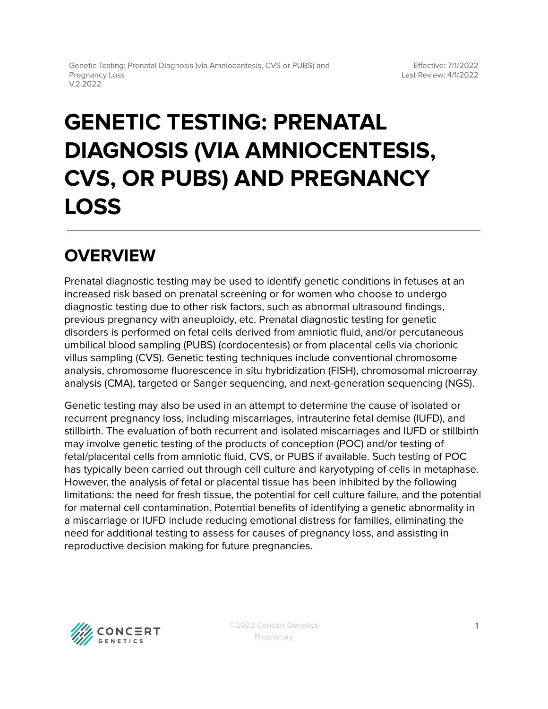# **GENETIC TESTING: PRENATAL DIAGNOSIS (VIA AMNIOCENTESIS, CVS, OR PUBS) AND PREGNANCY LOSS**

## **OVERVIEW**

Prenatal diagnostic testing may be used to identify genetic conditions in fetuses at an increased risk based on prenatal screening or for women who choose to undergo diagnostic testing due to other risk factors, such as abnormal ultrasound findings, previous pregnancy with aneuploidy, etc. Prenatal diagnostic testing for genetic disorders is performed on fetal cells derived from amniotic fluid, and/or percutaneous umbilical blood sampling (PUBS) (cordocentesis) or from placental cells via chorionic villus sampling (CVS). Genetic testing techniques include conventional chromosome analysis, chromosome fluorescence in situ hybridization (FISH), chromosomal microarray analysis (CMA), targeted or Sanger sequencing, and next-generation sequencing (NGS).

Genetic testing may also be used in an attempt to determine the cause of isolated or recurrent pregnancy loss, including miscarriages, intrauterine fetal demise (IUFD), and stillbirth. The evaluation of both recurrent and isolated miscarriages and IUFD or stillbirth may involve genetic testing of the products of conception (POC) and/or testing of fetal/placental cells from amniotic fluid, CVS, or PUBS if available. Such testing of POC has typically been carried out through cell culture and karyotyping of cells in metaphase. However, the analysis of fetal or placental tissue has been inhibited by the following limitations: the need for fresh tissue, the potential for cell culture failure, and the potential for maternal cell contamination. Potential benefits of identifying a genetic abnormality in a miscarriage or IUFD include reducing emotional distress for families, eliminating the need for additional testing to assess for causes of pregnancy loss, and assisting in reproductive decision making for future pregnancies.

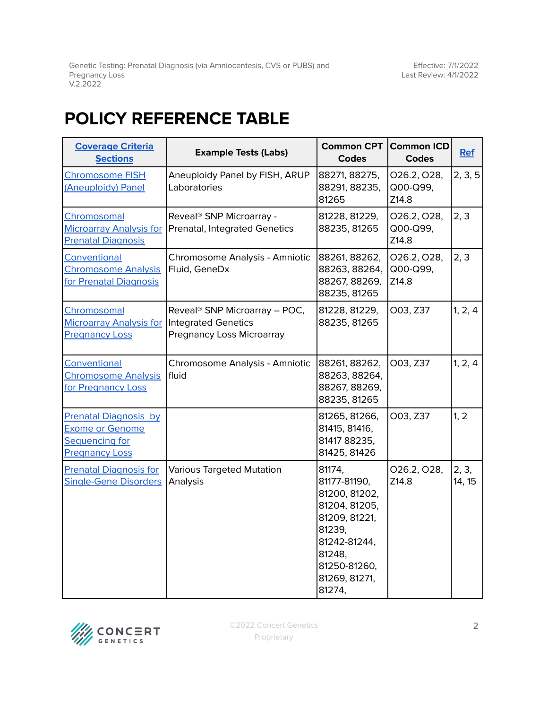Genetic Testing: Prenatal Diagnosis (via Amniocentesis, CVS or PUBS) and Pregnancy Loss V.2.2022

Effective: 7/1/2022 Last Review: 4/1/2022

## <span id="page-1-0"></span>**POLICY REFERENCE TABLE**

| <b>Coverage Criteria</b><br><b>Sections</b>                                                              | <b>Example Tests (Labs)</b>                                                                   | <b>Common CPT</b><br><b>Codes</b>                                                                                                                        | <b>Common ICD</b><br><b>Codes</b> | <b>Ref</b>      |
|----------------------------------------------------------------------------------------------------------|-----------------------------------------------------------------------------------------------|----------------------------------------------------------------------------------------------------------------------------------------------------------|-----------------------------------|-----------------|
| <b>Chromosome FISH</b><br>(Aneuploidy) Panel                                                             | Aneuploidy Panel by FISH, ARUP<br>Laboratories                                                | 88271, 88275,<br>88291, 88235,<br>81265                                                                                                                  | 026.2, 028,<br>Q00-Q99,<br>Z14.8  | 2, 3, 5         |
| Chromosomal<br><b>Microarray Analysis for</b><br><b>Prenatal Diagnosis</b>                               | Reveal <sup>®</sup> SNP Microarray -<br>Prenatal, Integrated Genetics                         | 81228, 81229,<br>88235, 81265                                                                                                                            | 026.2, 028,<br>Q00-Q99,<br>Z14.8  | 2, 3            |
| Conventional<br><b>Chromosome Analysis</b><br>for Prenatal Diagnosis                                     | Chromosome Analysis - Amniotic<br>Fluid, GeneDx                                               | 88261, 88262,<br>88263, 88264,<br>88267, 88269,<br>88235, 81265                                                                                          | O26.2, O28,<br>Q00-Q99,<br>Z14.8  | 2, 3            |
| Chromosomal<br><b>Microarray Analysis for</b><br><b>Pregnancy Loss</b>                                   | Reveal <sup>®</sup> SNP Microarray - POC,<br>Integrated Genetics<br>Pregnancy Loss Microarray | 81228, 81229,<br>88235, 81265                                                                                                                            | O03, Z37                          | 1, 2, 4         |
| Conventional<br><b>Chromosome Analysis</b><br>for Pregnancy Loss                                         | Chromosome Analysis - Amniotic<br>fluid                                                       | 88261, 88262,<br>88263, 88264,<br>88267, 88269,<br>88235, 81265                                                                                          | O03, Z37                          | 1, 2, 4         |
| <b>Prenatal Diagnosis by</b><br><b>Exome or Genome</b><br><b>Sequencing for</b><br><b>Pregnancy Loss</b> |                                                                                               | 81265, 81266,<br>81415, 81416,<br>81417 88235,<br>81425, 81426                                                                                           | O03, Z37                          | 1, 2            |
| <b>Prenatal Diagnosis for</b><br><b>Single-Gene Disorders</b>                                            | <b>Various Targeted Mutation</b><br>Analysis                                                  | 81174,<br>81177-81190,<br>81200, 81202,<br>81204, 81205,<br>81209, 81221,<br>81239,<br>81242-81244,<br>81248,<br>81250-81260,<br>81269, 81271,<br>81274, | 026.2, 028,<br>Z14.8              | 2, 3,<br>14, 15 |

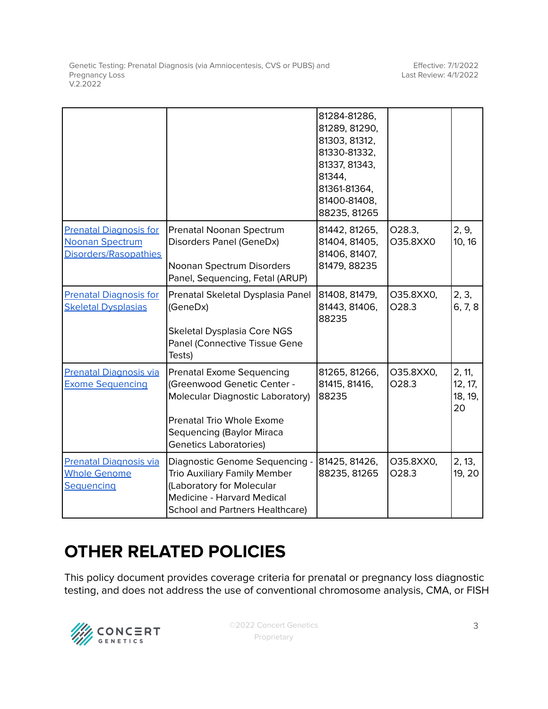Genetic Testing: Prenatal Diagnosis (via Amniocentesis, CVS or PUBS) and Pregnancy Loss V.2.2022

|                                                                           |                                                                                                                                                                                                       | 81284-81286,<br>81289, 81290,<br>81303, 81312,<br>81330-81332,<br>81337, 81343,<br>81344,<br>81361-81364,<br>81400-81408,<br>88235, 81265 |                    |                                    |
|---------------------------------------------------------------------------|-------------------------------------------------------------------------------------------------------------------------------------------------------------------------------------------------------|-------------------------------------------------------------------------------------------------------------------------------------------|--------------------|------------------------------------|
| <b>Prenatal Diagnosis for</b><br>Noonan Spectrum<br>Disorders/Rasopathies | Prenatal Noonan Spectrum<br>Disorders Panel (GeneDx)<br>Noonan Spectrum Disorders<br>Panel, Sequencing, Fetal (ARUP)                                                                                  | 81442, 81265,<br>81404, 81405,<br>81406, 81407,<br>81479, 88235                                                                           | 028.3,<br>O35.8XX0 | 2, 9,<br>10, 16                    |
| <b>Prenatal Diagnosis for</b><br><b>Skeletal Dysplasias</b>               | Prenatal Skeletal Dysplasia Panel<br>(GeneDx)<br>Skeletal Dysplasia Core NGS<br>Panel (Connective Tissue Gene<br>Tests)                                                                               | 81408, 81479,<br>81443, 81406,<br>88235                                                                                                   | O35.8XX0,<br>028.3 | 2, 3,<br>6, 7, 8                   |
| <b>Prenatal Diagnosis via</b><br><b>Exome Sequencing</b>                  | <b>Prenatal Exome Sequencing</b><br>(Greenwood Genetic Center -<br><b>Molecular Diagnostic Laboratory)</b><br>Prenatal Trio Whole Exome<br>Sequencing (Baylor Miraca<br><b>Genetics Laboratories)</b> | 81265, 81266,<br>81415, 81416,<br>88235                                                                                                   | O35.8XX0,<br>028.3 | 2, 11,<br>12, 17,<br>18, 19,<br>20 |
| <b>Prenatal Diagnosis via</b><br><b>Whole Genome</b><br>Sequencing        | Diagnostic Genome Sequencing -<br>Trio Auxiliary Family Member<br>(Laboratory for Molecular<br>Medicine - Harvard Medical<br><b>School and Partners Healthcare)</b>                                   | 81425, 81426,<br>88235, 81265                                                                                                             | O35.8XX0,<br>028.3 | 2, 13,<br>19, 20                   |

## **OTHER RELATED POLICIES**

This policy document provides coverage criteria for prenatal or pregnancy loss diagnostic testing, and does not address the use of conventional chromosome analysis, CMA, or FISH

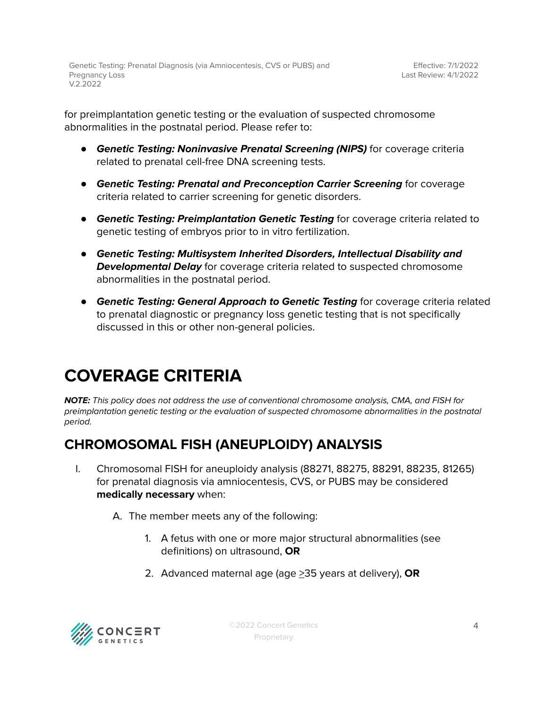for preimplantation genetic testing or the evaluation of suspected chromosome abnormalities in the postnatal period. Please refer to:

- **Genetic Testing: Noninvasive Prenatal Screening (NIPS)** for coverage criteria related to prenatal cell-free DNA screening tests.
- **Genetic Testing: Prenatal and Preconception Carrier Screening** for coverage criteria related to carrier screening for genetic disorders.
- **Genetic Testing: Preimplantation Genetic Testing** for coverage criteria related to genetic testing of embryos prior to in vitro fertilization.
- **Genetic Testing: Multisystem Inherited Disorders, Intellectual Disability and Developmental Delay** for coverage criteria related to suspected chromosome abnormalities in the postnatal period.
- **Genetic Testing: General Approach to Genetic Testing** for coverage criteria related to prenatal diagnostic or pregnancy loss genetic testing that is not specifically discussed in this or other non-general policies.

## <span id="page-3-0"></span>**COVERAGE CRITERIA**

**NOTE:** This policy does not address the use of conventional chromosome analysis, CMA, and FISH for preimplantation genetic testing or the evaluation of suspected chromosome abnormalities in the postnatal period.

## <span id="page-3-1"></span>**CHROMOSOMAL FISH (ANEUPLOIDY) ANALYSIS**

- I. Chromosomal FISH for aneuploidy analysis (88271, 88275, 88291, 88235, 81265) for prenatal diagnosis via amniocentesis, CVS, or PUBS may be considered **medically necessary** when:
	- A. The member meets any of the following:
		- 1. A fetus with one or more major structural abnormalities (see definitions) on ultrasound, **OR**
		- 2. Advanced maternal age (age >35 years at delivery), **OR**

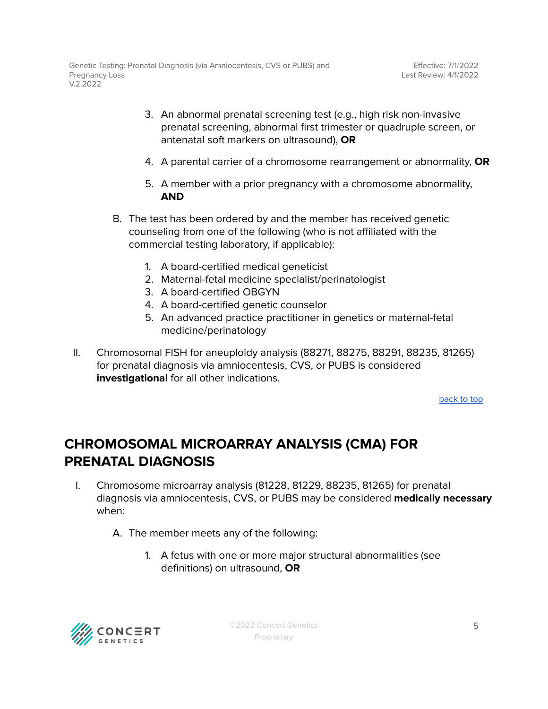- 3. An abnormal prenatal screening test (e.g., high risk non-invasive prenatal screening, abnormal first trimester or quadruple screen, or antenatal soft markers on ultrasound), **OR**
- 4. A parental carrier of a chromosome rearrangement or abnormality, **OR**
- 5. A member with a prior pregnancy with a chromosome abnormality, **AND**
- B. The test has been ordered by and the member has received genetic counseling from one of the following (who is not affiliated with the commercial testing laboratory, if applicable):
	- 1. A board-certified medical geneticist
	- 2. Maternal-fetal medicine specialist/perinatologist
	- 3. A board-certified OBGYN
	- 4. A board-certified genetic counselor
	- 5. An advanced practice practitioner in genetics or maternal-fetal medicine/perinatology
- II. Chromosomal FISH for aneuploidy analysis (88271, 88275, 88291, 88235, 81265) for prenatal diagnosis via amniocentesis, CVS, or PUBS is considered **investigational** for all other indications.

## <span id="page-4-0"></span>**CHROMOSOMAL MICROARRAY ANALYSIS (CMA) FOR PRENATAL DIAGNOSIS**

- I. Chromosome microarray analysis (81228, 81229, 88235, 81265) for prenatal diagnosis via amniocentesis, CVS, or PUBS may be considered **medically necessary** when:
	- A. The member meets any of the following:
		- 1. A fetus with one or more major structural abnormalities (see definitions) on ultrasound, **OR**

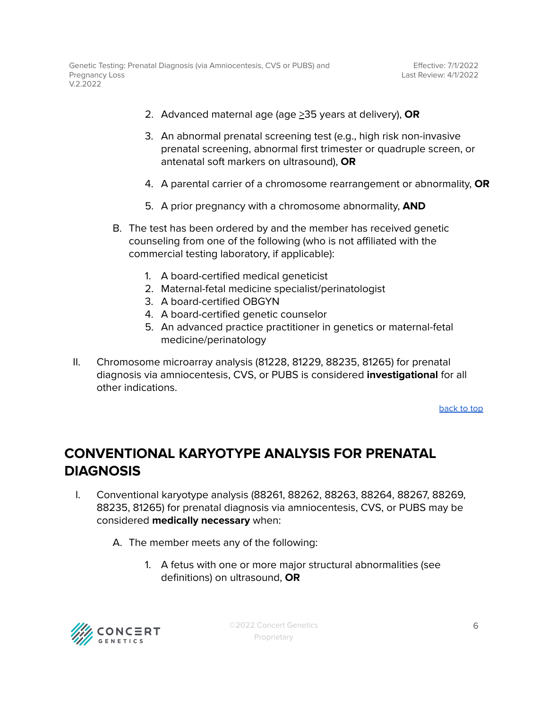- 2. Advanced maternal age (age >35 years at delivery), **OR**
- 3. An abnormal prenatal screening test (e.g., high risk non-invasive prenatal screening, abnormal first trimester or quadruple screen, or antenatal soft markers on ultrasound), **OR**
- 4. A parental carrier of a chromosome rearrangement or abnormality, **OR**
- 5. A prior pregnancy with a chromosome abnormality, **AND**
- B. The test has been ordered by and the member has received genetic counseling from one of the following (who is not affiliated with the commercial testing laboratory, if applicable):
	- 1. A board-certified medical geneticist
	- 2. Maternal-fetal medicine specialist/perinatologist
	- 3. A board-certified OBGYN
	- 4. A board-certified genetic counselor
	- 5. An advanced practice practitioner in genetics or maternal-fetal medicine/perinatology
- II. Chromosome microarray analysis (81228, 81229, 88235, 81265) for prenatal diagnosis via amniocentesis, CVS, or PUBS is considered **investigational** for all other indications.

### <span id="page-5-0"></span>**CONVENTIONAL KARYOTYPE ANALYSIS FOR PRENATAL DIAGNOSIS**

- I. Conventional karyotype analysis (88261, 88262, 88263, 88264, 88267, 88269, 88235, 81265) for prenatal diagnosis via amniocentesis, CVS, or PUBS may be considered **medically necessary** when:
	- A. The member meets any of the following:
		- 1. A fetus with one or more major structural abnormalities (see definitions) on ultrasound, **OR**

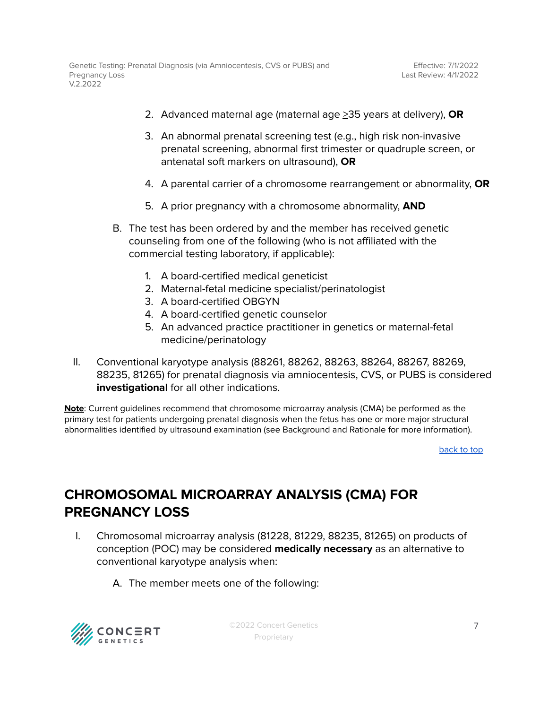- 2. Advanced maternal age (maternal age >35 years at delivery), **OR**
- 3. An abnormal prenatal screening test (e.g., high risk non-invasive prenatal screening, abnormal first trimester or quadruple screen, or antenatal soft markers on ultrasound), **OR**
- 4. A parental carrier of a chromosome rearrangement or abnormality, **OR**
- 5. A prior pregnancy with a chromosome abnormality, **AND**
- B. The test has been ordered by and the member has received genetic counseling from one of the following (who is not affiliated with the commercial testing laboratory, if applicable):
	- 1. A board-certified medical geneticist
	- 2. Maternal-fetal medicine specialist/perinatologist
	- 3. A board-certified OBGYN
	- 4. A board-certified genetic counselor
	- 5. An advanced practice practitioner in genetics or maternal-fetal medicine/perinatology
- II. Conventional karyotype analysis (88261, 88262, 88263, 88264, 88267, 88269, 88235, 81265) for prenatal diagnosis via amniocentesis, CVS, or PUBS is considered **investigational** for all other indications.

**Note**: Current guidelines recommend that chromosome microarray analysis (CMA) be performed as the primary test for patients undergoing prenatal diagnosis when the fetus has one or more major structural abnormalities identified by ultrasound examination (see Background and Rationale for more information).

[back](#page-1-0) to top

### <span id="page-6-0"></span>**CHROMOSOMAL MICROARRAY ANALYSIS (CMA) FOR PREGNANCY LOSS**

- I. Chromosomal microarray analysis (81228, 81229, 88235, 81265) on products of conception (POC) may be considered **medically necessary** as an alternative to conventional karyotype analysis when:
	- A. The member meets one of the following:



©2022 Concert Genetics Proprietary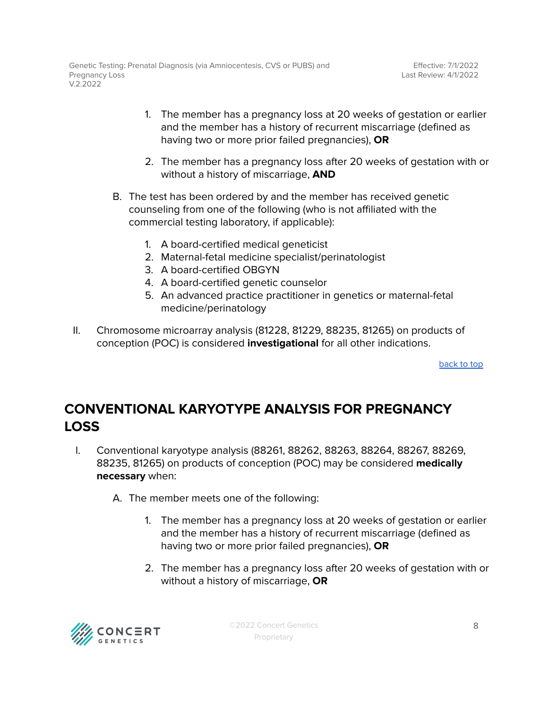- 1. The member has a pregnancy loss at 20 weeks of gestation or earlier and the member has a history of recurrent miscarriage (defined as having two or more prior failed pregnancies), **OR**
- 2. The member has a pregnancy loss after 20 weeks of gestation with or without a history of miscarriage, **AND**
- B. The test has been ordered by and the member has received genetic counseling from one of the following (who is not affiliated with the commercial testing laboratory, if applicable):
	- 1. A board-certified medical geneticist
	- 2. Maternal-fetal medicine specialist/perinatologist
	- 3. A board-certified OBGYN
	- 4. A board-certified genetic counselor
	- 5. An advanced practice practitioner in genetics or maternal-fetal medicine/perinatology
- II. Chromosome microarray analysis (81228, 81229, 88235, 81265) on products of conception (POC) is considered **investigational** for all other indications.

## <span id="page-7-0"></span>**CONVENTIONAL KARYOTYPE ANALYSIS FOR PREGNANCY LOSS**

- I. Conventional karyotype analysis (88261, 88262, 88263, 88264, 88267, 88269, 88235, 81265) on products of conception (POC) may be considered **medically necessary** when:
	- A. The member meets one of the following:
		- 1. The member has a pregnancy loss at 20 weeks of gestation or earlier and the member has a history of recurrent miscarriage (defined as having two or more prior failed pregnancies), **OR**
		- 2. The member has a pregnancy loss after 20 weeks of gestation with or without a history of miscarriage, **OR**

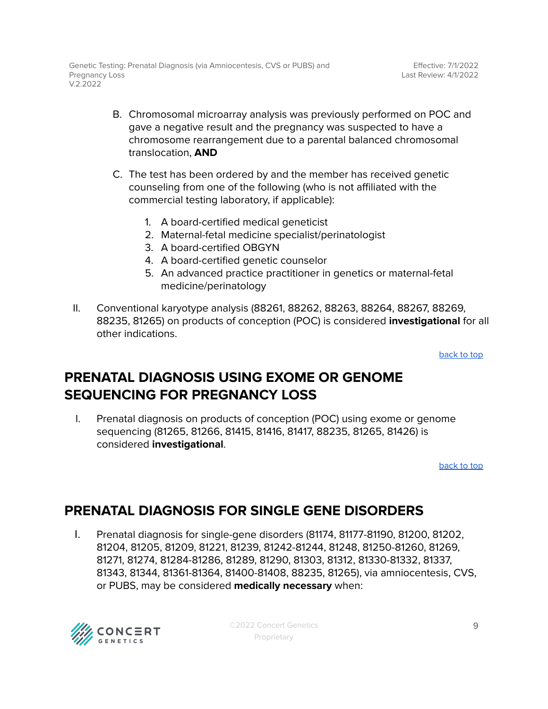- B. Chromosomal microarray analysis was previously performed on POC and gave a negative result and the pregnancy was suspected to have a chromosome rearrangement due to a parental balanced chromosomal translocation, **AND**
- C. The test has been ordered by and the member has received genetic counseling from one of the following (who is not affiliated with the commercial testing laboratory, if applicable):
	- 1. A board-certified medical geneticist
	- 2. Maternal-fetal medicine specialist/perinatologist
	- 3. A board-certified OBGYN
	- 4. A board-certified genetic counselor
	- 5. An advanced practice practitioner in genetics or maternal-fetal medicine/perinatology
- II. Conventional karyotype analysis (88261, 88262, 88263, 88264, 88267, 88269, 88235, 81265) on products of conception (POC) is considered **investigational** for all other indications.

### <span id="page-8-0"></span>**PRENATAL DIAGNOSIS USING EXOME OR GENOME SEQUENCING FOR PREGNANCY LOSS**

I. Prenatal diagnosis on products of conception (POC) using exome or genome sequencing (81265, 81266, 81415, 81416, 81417, 88235, 81265, 81426) is considered **investigational**.

[back](#page-1-0) to top

## <span id="page-8-1"></span>**PRENATAL DIAGNOSIS FOR SINGLE GENE DISORDERS**

I. Prenatal diagnosis for single-gene disorders (81174, 81177-81190, 81200, 81202, 81204, 81205, 81209, 81221, 81239, 81242-81244, 81248, 81250-81260, 81269, 81271, 81274, 81284-81286, 81289, 81290, 81303, 81312, 81330-81332, 81337, 81343, 81344, 81361-81364, 81400-81408, 88235, 81265), via amniocentesis, CVS, or PUBS, may be considered **medically necessary** when:

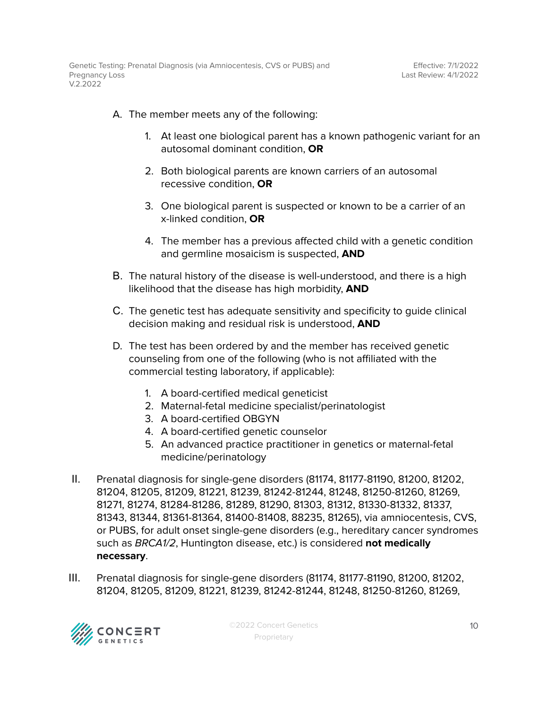- A. The member meets any of the following:
	- 1. At least one biological parent has a known pathogenic variant for an autosomal dominant condition, **OR**
	- 2. Both biological parents are known carriers of an autosomal recessive condition, **OR**
	- 3. One biological parent is suspected or known to be a carrier of an x-linked condition, **OR**
	- 4. The member has a previous affected child with a genetic condition and germline mosaicism is suspected, **AND**
- B. The natural history of the disease is well-understood, and there is a high likelihood that the disease has high morbidity, **AND**
- C. The genetic test has adequate sensitivity and specificity to guide clinical decision making and residual risk is understood, **AND**
- D. The test has been ordered by and the member has received genetic counseling from one of the following (who is not affiliated with the commercial testing laboratory, if applicable):
	- 1. A board-certified medical geneticist
	- 2. Maternal-fetal medicine specialist/perinatologist
	- 3. A board-certified OBGYN
	- 4. A board-certified genetic counselor
	- 5. An advanced practice practitioner in genetics or maternal-fetal medicine/perinatology
- II. Prenatal diagnosis for single-gene disorders (81174, 81177-81190, 81200, 81202, 81204, 81205, 81209, 81221, 81239, 81242-81244, 81248, 81250-81260, 81269, 81271, 81274, 81284-81286, 81289, 81290, 81303, 81312, 81330-81332, 81337, 81343, 81344, 81361-81364, 81400-81408, 88235, 81265), via amniocentesis, CVS, or PUBS, for adult onset single-gene disorders (e.g., hereditary cancer syndromes such as BRCA1/2, Huntington disease, etc.) is considered **not medically necessary**.
- III. Prenatal diagnosis for single-gene disorders (81174, 81177-81190, 81200, 81202, 81204, 81205, 81209, 81221, 81239, 81242-81244, 81248, 81250-81260, 81269,

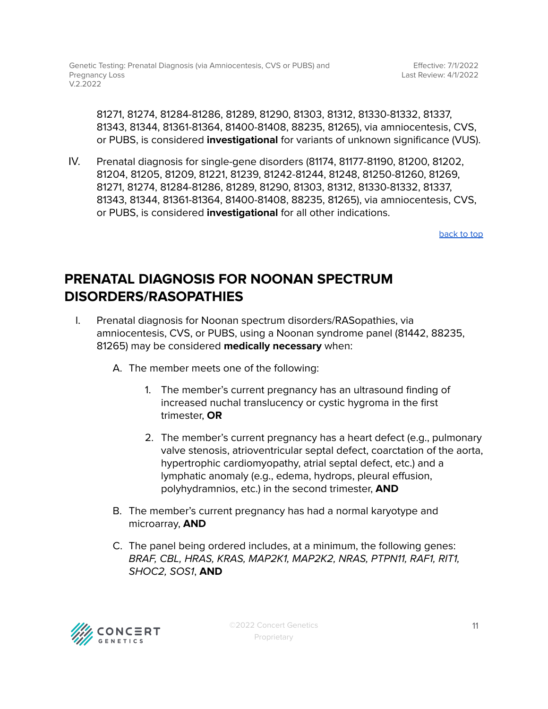81271, 81274, 81284-81286, 81289, 81290, 81303, 81312, 81330-81332, 81337, 81343, 81344, 81361-81364, 81400-81408, 88235, 81265), via amniocentesis, CVS, or PUBS, is considered **investigational** for variants of unknown significance (VUS).

IV. Prenatal diagnosis for single-gene disorders (81174, 81177-81190, 81200, 81202, 81204, 81205, 81209, 81221, 81239, 81242-81244, 81248, 81250-81260, 81269, 81271, 81274, 81284-81286, 81289, 81290, 81303, 81312, 81330-81332, 81337, 81343, 81344, 81361-81364, 81400-81408, 88235, 81265), via amniocentesis, CVS, or PUBS, is considered **investigational** for all other indications.

[back](#page-1-0) to top

### <span id="page-10-0"></span>**PRENATAL DIAGNOSIS FOR NOONAN SPECTRUM DISORDERS/RASOPATHIES**

- I. Prenatal diagnosis for Noonan spectrum disorders/RASopathies, via amniocentesis, CVS, or PUBS, using a Noonan syndrome panel (81442, 88235, 81265) may be considered **medically necessary** when:
	- A. The member meets one of the following:
		- 1. The member's current pregnancy has an ultrasound finding of increased nuchal translucency or cystic hygroma in the first trimester, **OR**
		- 2. The member's current pregnancy has a heart defect (e.g., pulmonary valve stenosis, atrioventricular septal defect, coarctation of the aorta, hypertrophic cardiomyopathy, atrial septal defect, etc.) and a lymphatic anomaly (e.g., edema, hydrops, pleural effusion, polyhydramnios, etc.) in the second trimester, **AND**
	- B. The member's current pregnancy has had a normal karyotype and microarray, **AND**
	- C. The panel being ordered includes, at a minimum, the following genes: BRAF, CBL, HRAS, KRAS, MAP2K1, MAP2K2, NRAS, PTPN11, RAF1, RIT1, SHOC2, SOS1, **AND**

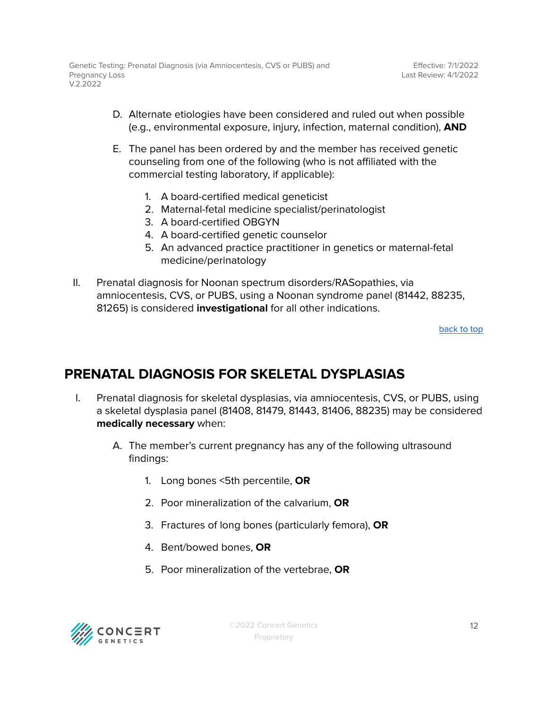- D. Alternate etiologies have been considered and ruled out when possible (e.g., environmental exposure, injury, infection, maternal condition), **AND**
- E. The panel has been ordered by and the member has received genetic counseling from one of the following (who is not affiliated with the commercial testing laboratory, if applicable):
	- 1. A board-certified medical geneticist
	- 2. Maternal-fetal medicine specialist/perinatologist
	- 3. A board-certified OBGYN
	- 4. A board-certified genetic counselor
	- 5. An advanced practice practitioner in genetics or maternal-fetal medicine/perinatology
- II. Prenatal diagnosis for Noonan spectrum disorders/RASopathies, via amniocentesis, CVS, or PUBS, using a Noonan syndrome panel (81442, 88235, 81265) is considered **investigational** for all other indications.

### <span id="page-11-0"></span>**PRENATAL DIAGNOSIS FOR SKELETAL DYSPLASIAS**

- I. Prenatal diagnosis for skeletal dysplasias, via amniocentesis, CVS, or PUBS, using a skeletal dysplasia panel (81408, 81479, 81443, 81406, 88235) may be considered **medically necessary** when:
	- A. The member's current pregnancy has any of the following ultrasound findings:
		- 1. Long bones <5th percentile, **OR**
		- 2. Poor mineralization of the calvarium, **OR**
		- 3. Fractures of long bones (particularly femora), **OR**
		- 4. Bent/bowed bones, **OR**
		- 5. Poor mineralization of the vertebrae, **OR**

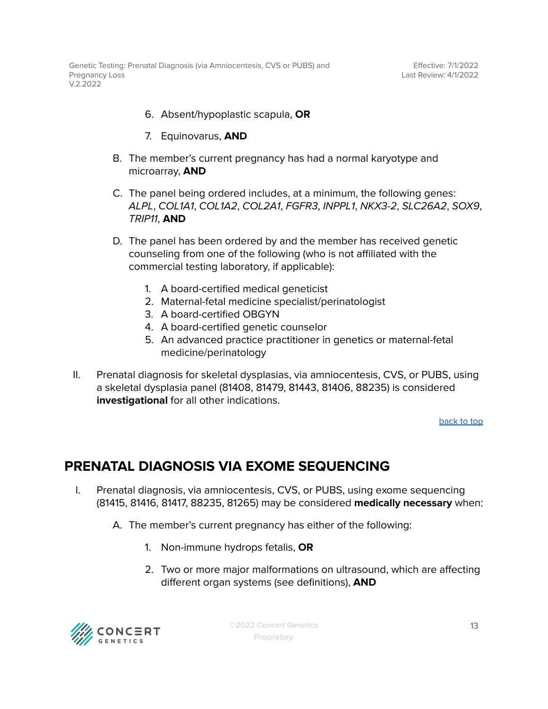- 6. Absent/hypoplastic scapula, **OR**
- 7. Equinovarus, **AND**
- B. The member's current pregnancy has had a normal karyotype and microarray, **AND**
- C. The panel being ordered includes, at a minimum, the following genes: ALPL, COL1A1, COL1A2, COL2A1, FGFR3, INPPL1, NKX3-2, SLC26A2, SOX9, TRIP11, **AND**
- D. The panel has been ordered by and the member has received genetic counseling from one of the following (who is not affiliated with the commercial testing laboratory, if applicable):
	- 1. A board-certified medical geneticist
	- 2. Maternal-fetal medicine specialist/perinatologist
	- 3. A board-certified OBGYN
	- 4. A board-certified genetic counselor
	- 5. An advanced practice practitioner in genetics or maternal-fetal medicine/perinatology
- II. Prenatal diagnosis for skeletal dysplasias, via amniocentesis, CVS, or PUBS, using a skeletal dysplasia panel (81408, 81479, 81443, 81406, 88235) is considered **investigational** for all other indications.

### <span id="page-12-0"></span>**PRENATAL DIAGNOSIS VIA EXOME SEQUENCING**

- I. Prenatal diagnosis, via amniocentesis, CVS, or PUBS, using exome sequencing (81415, 81416, 81417, 88235, 81265) may be considered **medically necessary** when:
	- A. The member's current pregnancy has either of the following:
		- 1. Non-immune hydrops fetalis, **OR**
		- 2. Two or more major malformations on ultrasound, which are affecting different organ systems (see definitions), **AND**

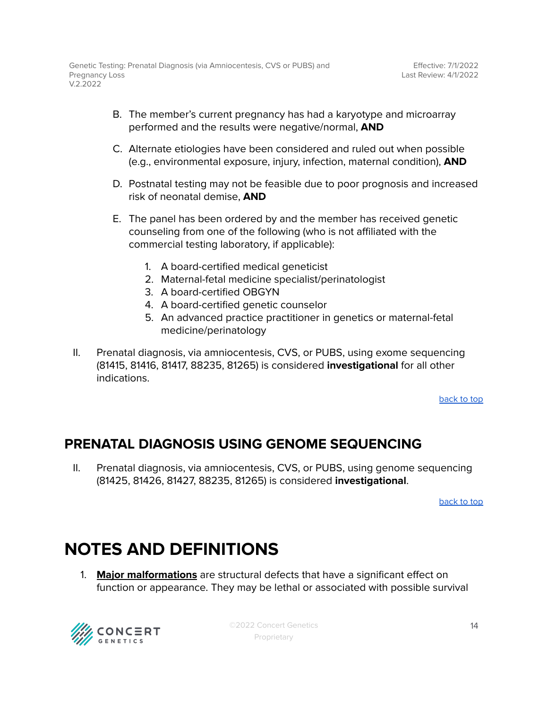- B. The member's current pregnancy has had a karyotype and microarray performed and the results were negative/normal, **AND**
- C. Alternate etiologies have been considered and ruled out when possible (e.g., environmental exposure, injury, infection, maternal condition), **AND**
- D. Postnatal testing may not be feasible due to poor prognosis and increased risk of neonatal demise, **AND**
- E. The panel has been ordered by and the member has received genetic counseling from one of the following (who is not affiliated with the commercial testing laboratory, if applicable):
	- 1. A board-certified medical geneticist
	- 2. Maternal-fetal medicine specialist/perinatologist
	- 3. A board-certified OBGYN
	- 4. A board-certified genetic counselor
	- 5. An advanced practice practitioner in genetics or maternal-fetal medicine/perinatology
- II. Prenatal diagnosis, via amniocentesis, CVS, or PUBS, using exome sequencing (81415, 81416, 81417, 88235, 81265) is considered **investigational** for all other indications.

### <span id="page-13-0"></span>**PRENATAL DIAGNOSIS USING GENOME SEQUENCING**

II. Prenatal diagnosis, via amniocentesis, CVS, or PUBS, using genome sequencing (81425, 81426, 81427, 88235, 81265) is considered **investigational**.

[back](#page-1-0) to top

## **NOTES AND DEFINITIONS**

1. **Major malformations** are structural defects that have a significant effect on function or appearance. They may be lethal or associated with possible survival



©2022 Concert Genetics Proprietary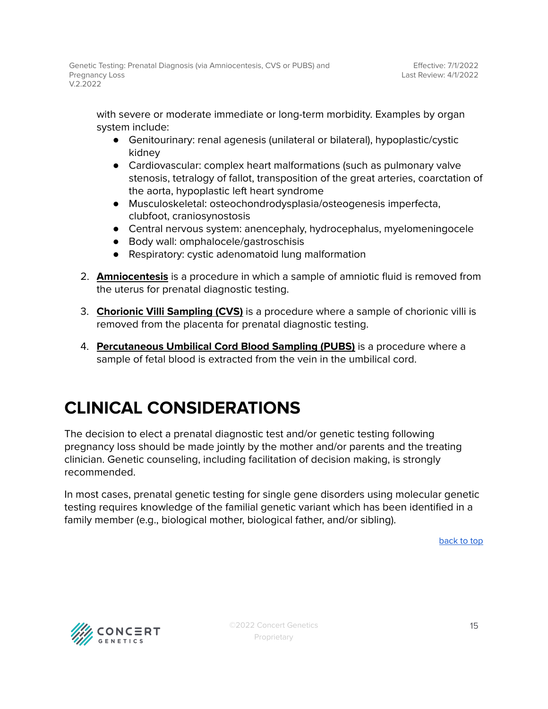with severe or moderate immediate or long-term morbidity. Examples by organ system include:

- Genitourinary: renal agenesis (unilateral or bilateral), hypoplastic/cystic kidney
- Cardiovascular: complex heart malformations (such as pulmonary valve stenosis, tetralogy of fallot, transposition of the great arteries, coarctation of the aorta, hypoplastic left heart syndrome
- Musculoskeletal: osteochondrodysplasia/osteogenesis imperfecta, clubfoot, craniosynostosis
- Central nervous system: anencephaly, hydrocephalus, myelomeningocele
- Body wall: omphalocele/gastroschisis
- Respiratory: cystic adenomatoid lung malformation
- 2. **Amniocentesis** is a procedure in which a sample of amniotic fluid is removed from the uterus for prenatal diagnostic testing.
- 3. **Chorionic Villi Sampling (CVS)** is a procedure where a sample of chorionic villi is removed from the placenta for prenatal diagnostic testing.
- 4. **Percutaneous Umbilical Cord Blood Sampling (PUBS)** is a procedure where a sample of fetal blood is extracted from the vein in the umbilical cord.

## **CLINICAL CONSIDERATIONS**

The decision to elect a prenatal diagnostic test and/or genetic testing following pregnancy loss should be made jointly by the mother and/or parents and the treating clinician. Genetic counseling, including facilitation of decision making, is strongly recommended.

In most cases, prenatal genetic testing for single gene disorders using molecular genetic testing requires knowledge of the familial genetic variant which has been identified in a family member (e.g., biological mother, biological father, and/or sibling).

[back](#page-1-0) to top

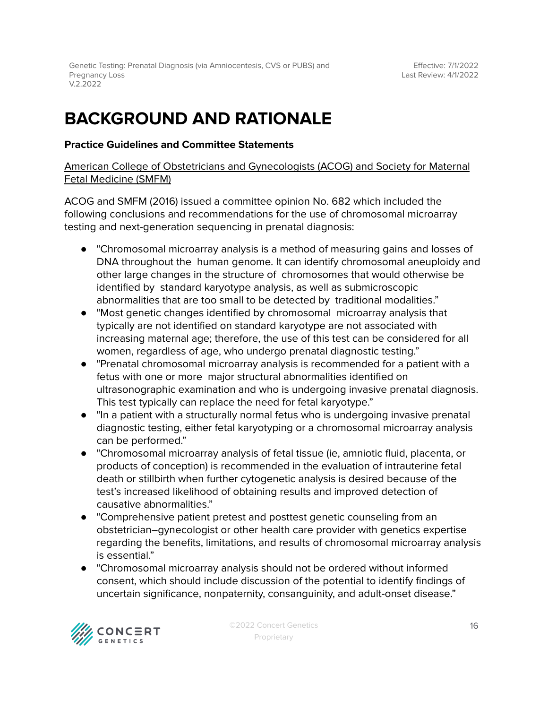Genetic Testing: Prenatal Diagnosis (via Amniocentesis, CVS or PUBS) and Pregnancy Loss V.2.2022

## **BACKGROUND AND RATIONALE**

#### **Practice Guidelines and Committee Statements**

#### American College of Obstetricians and Gynecologists (ACOG) and Society for Maternal Fetal Medicine (SMFM)

ACOG and SMFM (2016) issued a committee opinion No. 682 which included the following conclusions and recommendations for the use of chromosomal microarray testing and next-generation sequencing in prenatal diagnosis:

- "Chromosomal microarray analysis is a method of measuring gains and losses of DNA throughout the human genome. It can identify chromosomal aneuploidy and other large changes in the structure of chromosomes that would otherwise be identified by standard karyotype analysis, as well as submicroscopic abnormalities that are too small to be detected by traditional modalities."
- "Most genetic changes identified by chromosomal microarray analysis that typically are not identified on standard karyotype are not associated with increasing maternal age; therefore, the use of this test can be considered for all women, regardless of age, who undergo prenatal diagnostic testing."
- "Prenatal chromosomal microarray analysis is recommended for a patient with a fetus with one or more major structural abnormalities identified on ultrasonographic examination and who is undergoing invasive prenatal diagnosis. This test typically can replace the need for fetal karyotype."
- "In a patient with a structurally normal fetus who is undergoing invasive prenatal diagnostic testing, either fetal karyotyping or a chromosomal microarray analysis can be performed."
- "Chromosomal microarray analysis of fetal tissue (ie, amniotic fluid, placenta, or products of conception) is recommended in the evaluation of intrauterine fetal death or stillbirth when further cytogenetic analysis is desired because of the test's increased likelihood of obtaining results and improved detection of causative abnormalities."
- "Comprehensive patient pretest and posttest genetic counseling from an obstetrician–gynecologist or other health care provider with genetics expertise regarding the benefits, limitations, and results of chromosomal microarray analysis is essential."
- "Chromosomal microarray analysis should not be ordered without informed consent, which should include discussion of the potential to identify findings of uncertain significance, nonpaternity, consanguinity, and adult-onset disease."

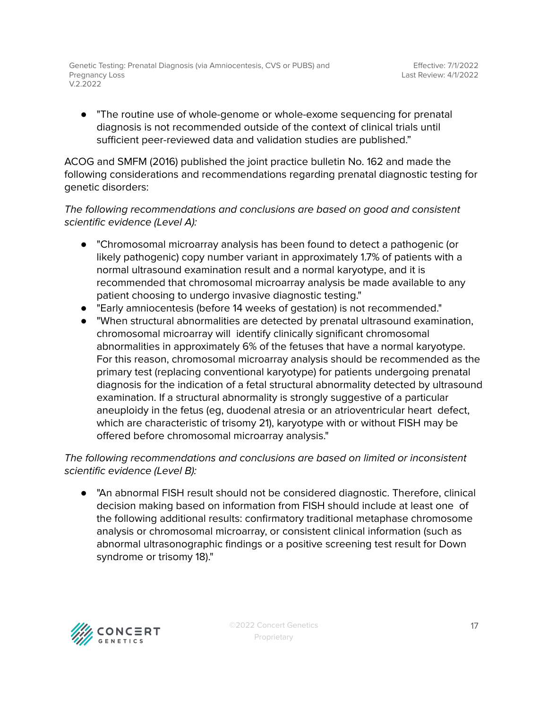● "The routine use of whole-genome or whole-exome sequencing for prenatal diagnosis is not recommended outside of the context of clinical trials until sufficient peer-reviewed data and validation studies are published."

ACOG and SMFM (2016) published the joint practice bulletin No. 162 and made the following considerations and recommendations regarding prenatal diagnostic testing for genetic disorders:

### The following recommendations and conclusions are based on good and consistent scientific evidence (Level A):

- "Chromosomal microarray analysis has been found to detect a pathogenic (or likely pathogenic) copy number variant in approximately 1.7% of patients with a normal ultrasound examination result and a normal karyotype, and it is recommended that chromosomal microarray analysis be made available to any patient choosing to undergo invasive diagnostic testing."
- "Early amniocentesis (before 14 weeks of gestation) is not recommended."
- "When structural abnormalities are detected by prenatal ultrasound examination, chromosomal microarray will identify clinically significant chromosomal abnormalities in approximately 6% of the fetuses that have a normal karyotype. For this reason, chromosomal microarray analysis should be recommended as the primary test (replacing conventional karyotype) for patients undergoing prenatal diagnosis for the indication of a fetal structural abnormality detected by ultrasound examination. If a structural abnormality is strongly suggestive of a particular aneuploidy in the fetus (eg, duodenal atresia or an atrioventricular heart defect, which are characteristic of trisomy 21), karyotype with or without FISH may be offered before chromosomal microarray analysis."

### The following recommendations and conclusions are based on limited or inconsistent scientific evidence (Level B):

● "An abnormal FISH result should not be considered diagnostic. Therefore, clinical decision making based on information from FISH should include at least one of the following additional results: confirmatory traditional metaphase chromosome analysis or chromosomal microarray, or consistent clinical information (such as abnormal ultrasonographic findings or a positive screening test result for Down syndrome or trisomy 18)."

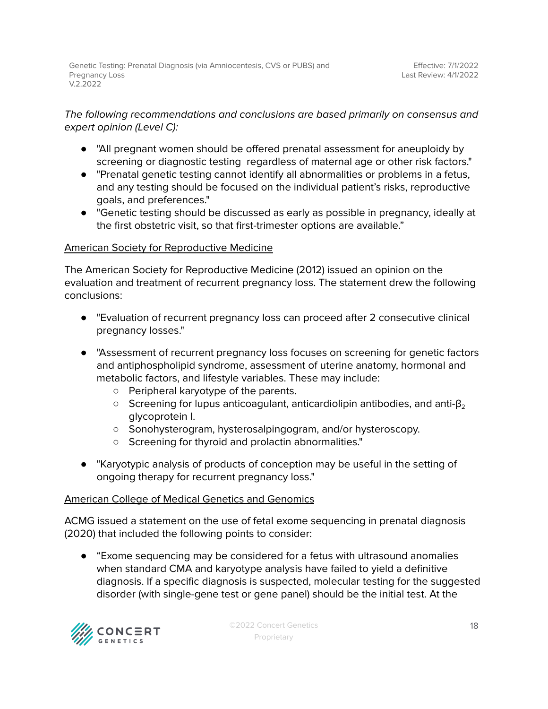### The following recommendations and conclusions are based primarily on consensus and expert opinion (Level C):

- "All pregnant women should be offered prenatal assessment for aneuploidy by screening or diagnostic testing regardless of maternal age or other risk factors."
- "Prenatal genetic testing cannot identify all abnormalities or problems in a fetus, and any testing should be focused on the individual patient's risks, reproductive goals, and preferences."
- "Genetic testing should be discussed as early as possible in pregnancy, ideally at the first obstetric visit, so that first-trimester options are available."

### American Society for Reproductive Medicine

The American Society for Reproductive Medicine (2012) issued an opinion on the evaluation and treatment of recurrent pregnancy loss. The statement drew the following conclusions:

- "Evaluation of recurrent pregnancy loss can proceed after 2 consecutive clinical pregnancy losses."
- "Assessment of recurrent pregnancy loss focuses on screening for genetic factors and antiphospholipid syndrome, assessment of uterine anatomy, hormonal and metabolic factors, and lifestyle variables. These may include:
	- Peripheral karyotype of the parents.
	- $\circ$  Screening for lupus anticoagulant, anticardiolipin antibodies, and anti-β<sub>2</sub> glycoprotein I.
	- Sonohysterogram, hysterosalpingogram, and/or hysteroscopy.
	- Screening for thyroid and prolactin abnormalities."
- "Karyotypic analysis of products of conception may be useful in the setting of ongoing therapy for recurrent pregnancy loss."

### American College of Medical Genetics and Genomics

ACMG issued a statement on the use of fetal exome sequencing in prenatal diagnosis (2020) that included the following points to consider:

● "Exome sequencing may be considered for a fetus with ultrasound anomalies when standard CMA and karyotype analysis have failed to yield a definitive diagnosis. If a specific diagnosis is suspected, molecular testing for the suggested disorder (with single-gene test or gene panel) should be the initial test. At the

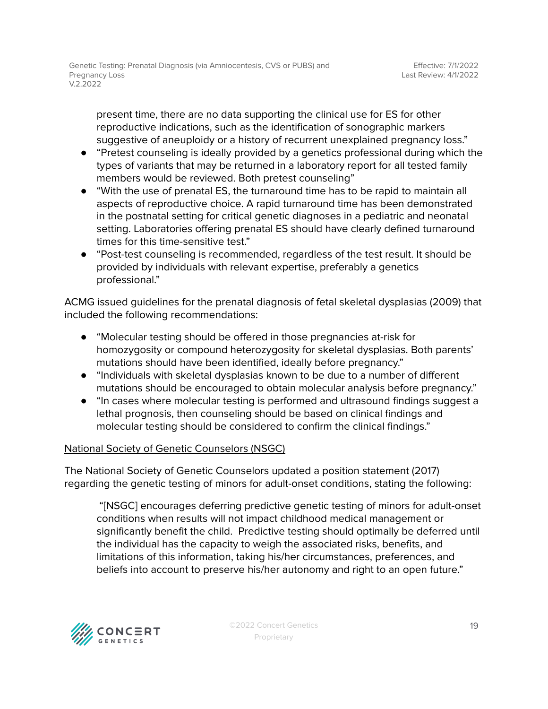present time, there are no data supporting the clinical use for ES for other reproductive indications, such as the identification of sonographic markers suggestive of aneuploidy or a history of recurrent unexplained pregnancy loss."

- "Pretest counseling is ideally provided by a genetics professional during which the types of variants that may be returned in a laboratory report for all tested family members would be reviewed. Both pretest counseling"
- "With the use of prenatal ES, the turnaround time has to be rapid to maintain all aspects of reproductive choice. A rapid turnaround time has been demonstrated in the postnatal setting for critical genetic diagnoses in a pediatric and neonatal setting. Laboratories offering prenatal ES should have clearly defined turnaround times for this time-sensitive test."
- "Post-test counseling is recommended, regardless of the test result. It should be provided by individuals with relevant expertise, preferably a genetics professional."

ACMG issued guidelines for the prenatal diagnosis of fetal skeletal dysplasias (2009) that included the following recommendations:

- "Molecular testing should be offered in those pregnancies at-risk for homozygosity or compound heterozygosity for skeletal dysplasias. Both parents' mutations should have been identified, ideally before pregnancy."
- "Individuals with skeletal dysplasias known to be due to a number of different mutations should be encouraged to obtain molecular analysis before pregnancy."
- "In cases where molecular testing is performed and ultrasound findings suggest a lethal prognosis, then counseling should be based on clinical findings and molecular testing should be considered to confirm the clinical findings."

### National Society of Genetic Counselors (NSGC)

The National Society of Genetic Counselors updated a position statement (2017) regarding the genetic testing of minors for adult-onset conditions, stating the following:

"[NSGC] encourages deferring predictive genetic testing of minors for adult-onset conditions when results will not impact childhood medical management or significantly benefit the child. Predictive testing should optimally be deferred until the individual has the capacity to weigh the associated risks, benefits, and limitations of this information, taking his/her circumstances, preferences, and beliefs into account to preserve his/her autonomy and right to an open future."

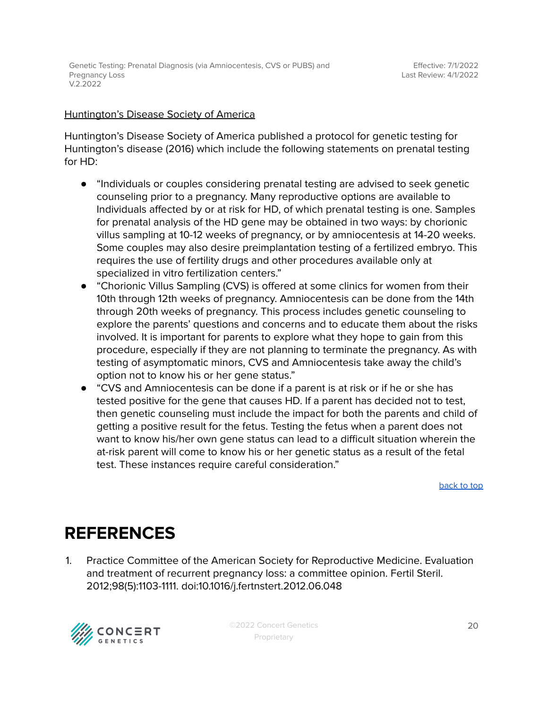#### Huntington's Disease Society of America

Huntington's Disease Society of America published a protocol for genetic testing for Huntington's disease (2016) which include the following statements on prenatal testing for HD:

- "Individuals or couples considering prenatal testing are advised to seek genetic counseling prior to a pregnancy. Many reproductive options are available to Individuals affected by or at risk for HD, of which prenatal testing is one. Samples for prenatal analysis of the HD gene may be obtained in two ways: by chorionic villus sampling at 10-12 weeks of pregnancy, or by amniocentesis at 14-20 weeks. Some couples may also desire preimplantation testing of a fertilized embryo. This requires the use of fertility drugs and other procedures available only at specialized in vitro fertilization centers."
- "Chorionic Villus Sampling (CVS) is offered at some clinics for women from their 10th through 12th weeks of pregnancy. Amniocentesis can be done from the 14th through 20th weeks of pregnancy. This process includes genetic counseling to explore the parents' questions and concerns and to educate them about the risks involved. It is important for parents to explore what they hope to gain from this procedure, especially if they are not planning to terminate the pregnancy. As with testing of asymptomatic minors, CVS and Amniocentesis take away the child's option not to know his or her gene status."
- "CVS and Amniocentesis can be done if a parent is at risk or if he or she has tested positive for the gene that causes HD. If a parent has decided not to test, then genetic counseling must include the impact for both the parents and child of getting a positive result for the fetus. Testing the fetus when a parent does not want to know his/her own gene status can lead to a difficult situation wherein the at-risk parent will come to know his or her genetic status as a result of the fetal test. These instances require careful consideration."

[back](#page-1-0) to top

## <span id="page-19-0"></span>**REFERENCES**

1. Practice Committee of the American Society for Reproductive Medicine. Evaluation and treatment of recurrent pregnancy loss: a committee opinion. Fertil Steril. 2012;98(5):1103-1111. doi:10.1016/j.fertnstert.2012.06.048



©2022 Concert Genetics Proprietary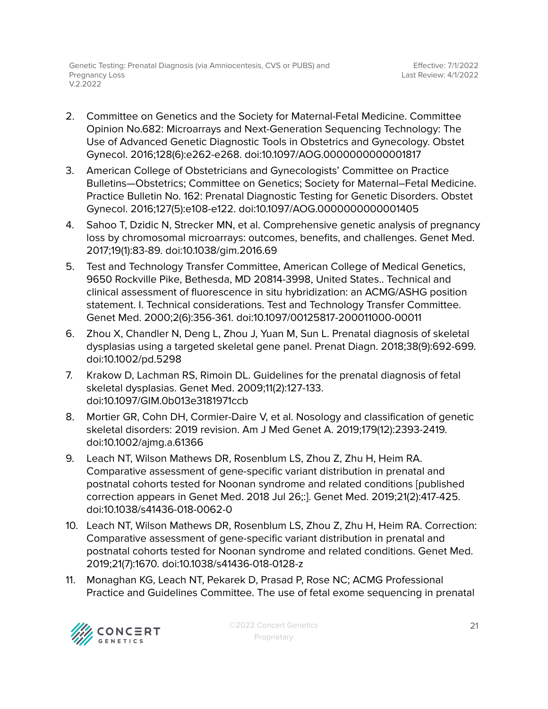- 2. Committee on Genetics and the Society for Maternal-Fetal Medicine. Committee Opinion No.682: Microarrays and Next-Generation Sequencing Technology: The Use of Advanced Genetic Diagnostic Tools in Obstetrics and Gynecology. Obstet Gynecol. 2016;128(6):e262-e268. doi:10.1097/AOG.0000000000001817
- 3. American College of Obstetricians and Gynecologists' Committee on Practice Bulletins—Obstetrics; Committee on Genetics; Society for Maternal–Fetal Medicine. Practice Bulletin No. 162: Prenatal Diagnostic Testing for Genetic Disorders. Obstet Gynecol. 2016;127(5):e108-e122. doi:10.1097/AOG.0000000000001405
- 4. Sahoo T, Dzidic N, Strecker MN, et al. Comprehensive genetic analysis of pregnancy loss by chromosomal microarrays: outcomes, benefits, and challenges. Genet Med. 2017;19(1):83-89. doi:10.1038/gim.2016.69
- 5. Test and Technology Transfer Committee, American College of Medical Genetics, 9650 Rockville Pike, Bethesda, MD 20814-3998, United States.. Technical and clinical assessment of fluorescence in situ hybridization: an ACMG/ASHG position statement. I. Technical considerations. Test and Technology Transfer Committee. Genet Med. 2000;2(6):356-361. doi:10.1097/00125817-200011000-00011
- 6. Zhou X, Chandler N, Deng L, Zhou J, Yuan M, Sun L. Prenatal diagnosis of skeletal dysplasias using a targeted skeletal gene panel. Prenat Diagn. 2018;38(9):692-699. doi:10.1002/pd.5298
- 7. Krakow D, Lachman RS, Rimoin DL. Guidelines for the prenatal diagnosis of fetal skeletal dysplasias. Genet Med. 2009;11(2):127-133. doi:10.1097/GIM.0b013e3181971ccb
- 8. Mortier GR, Cohn DH, Cormier-Daire V, et al. Nosology and classification of genetic skeletal disorders: 2019 revision. Am J Med Genet A. 2019;179(12):2393-2419. doi:10.1002/ajmg.a.61366
- 9. Leach NT, Wilson Mathews DR, Rosenblum LS, Zhou Z, Zhu H, Heim RA. Comparative assessment of gene-specific variant distribution in prenatal and postnatal cohorts tested for Noonan syndrome and related conditions [published correction appears in Genet Med. 2018 Jul 26;:]. Genet Med. 2019;21(2):417-425. doi:10.1038/s41436-018-0062-0
- 10. Leach NT, Wilson Mathews DR, Rosenblum LS, Zhou Z, Zhu H, Heim RA. Correction: Comparative assessment of gene-specific variant distribution in prenatal and postnatal cohorts tested for Noonan syndrome and related conditions. Genet Med. 2019;21(7):1670. doi:10.1038/s41436-018-0128-z
- 11. Monaghan KG, Leach NT, Pekarek D, Prasad P, Rose NC; ACMG Professional Practice and Guidelines Committee. The use of fetal exome sequencing in prenatal

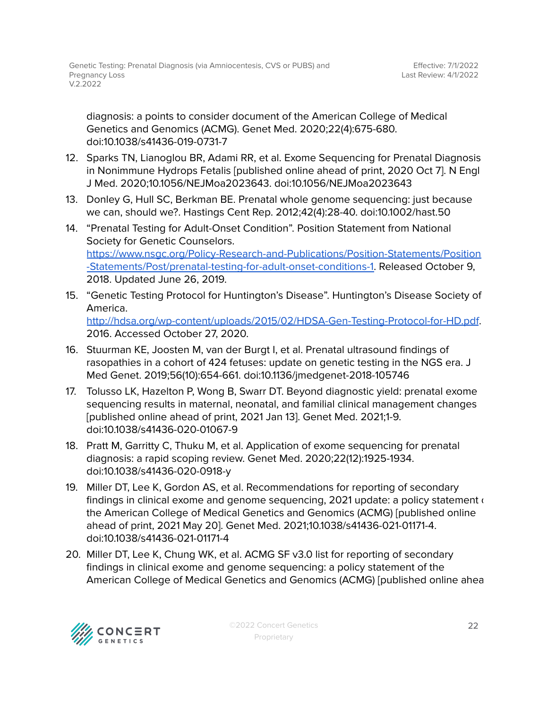diagnosis: a points to consider document of the American College of Medical Genetics and Genomics (ACMG). Genet Med. 2020;22(4):675-680. doi:10.1038/s41436-019-0731-7

- 12. Sparks TN, Lianoglou BR, Adami RR, et al. Exome Sequencing for Prenatal Diagnosis in Nonimmune Hydrops Fetalis [published online ahead of print, 2020 Oct 7]. N Engl J Med. 2020;10.1056/NEJMoa2023643. doi:10.1056/NEJMoa2023643
- 13. Donley G, Hull SC, Berkman BE. Prenatal whole genome sequencing: just because we can, should we?. Hastings Cent Rep. 2012;42(4):28-40. doi:10.1002/hast.50
- 14. "Prenatal Testing for Adult-Onset Condition". Position Statement from National Society for Genetic Counselors. [https://www.nsgc.org/Policy-Research-and-Publications/Position-Statements/Position](https://www.nsgc.org/Policy-Research-and-Publications/Position-Statements/Position-Statements/Post/prenatal-testing-for-adult-onset-conditions-1) [-Statements/Post/prenatal-testing-for-adult-onset-conditions-1.](https://www.nsgc.org/Policy-Research-and-Publications/Position-Statements/Position-Statements/Post/prenatal-testing-for-adult-onset-conditions-1) Released October 9, 2018. Updated June 26, 2019.
- 15. "Genetic Testing Protocol for Huntington's Disease". Huntington's Disease Society of America. <http://hdsa.org/wp-content/uploads/2015/02/HDSA-Gen-Testing-Protocol-for-HD.pdf>. 2016. Accessed October 27, 2020.
- 16. Stuurman KE, Joosten M, van der Burgt I, et al. Prenatal ultrasound findings of rasopathies in a cohort of 424 fetuses: update on genetic testing in the NGS era. J Med Genet. 2019;56(10):654-661. doi:10.1136/jmedgenet-2018-105746
- 17. Tolusso LK, Hazelton P, Wong B, Swarr DT. Beyond diagnostic yield: prenatal exome sequencing results in maternal, neonatal, and familial clinical management changes [published online ahead of print, 2021 Jan 13]. Genet Med. 2021;1-9. doi:10.1038/s41436-020-01067-9
- 18. Pratt M, Garritty C, Thuku M, et al. Application of exome sequencing for prenatal diagnosis: a rapid scoping review. Genet Med. 2020;22(12):1925-1934. doi:10.1038/s41436-020-0918-y
- 19. Miller DT, Lee K, Gordon AS, et al. Recommendations for reporting of secondary findings in clinical exome and genome sequencing, 2021 update: a policy statement  $\epsilon$ the American College of Medical Genetics and Genomics (ACMG) [published online ahead of print, 2021 May 20]. Genet Med. 2021;10.1038/s41436-021-01171-4. doi:10.1038/s41436-021-01171-4
- 20. Miller DT, Lee K, Chung WK, et al. ACMG SF v3.0 list for reporting of secondary findings in clinical exome and genome sequencing: a policy statement of the American College of Medical Genetics and Genomics (ACMG) [published online ahea